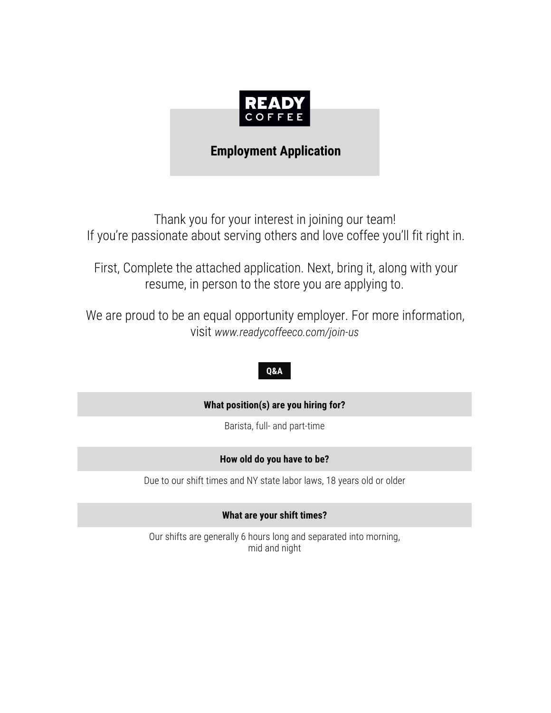

## **Employment Application**

Thank you for your interest in joining our team! If you're passionate about serving others and love coffee you'll fit right in.

First, Complete the attached application. Next, bring it, along with your resume, in person to the store you are applying to.

We are proud to be an equal opportunity employer. For more information, visit *www.readycoffeeco.com/join-us*

### **Q&A**

### **What position(s) are you hiring for?**

Barista, full- and part-time

### **How old do you have to be?**

Due to our shift times and NY state labor laws, 18 years old or older

**What are your shift times?**

Our shifts are generally 6 hours long and separated into morning, mid and night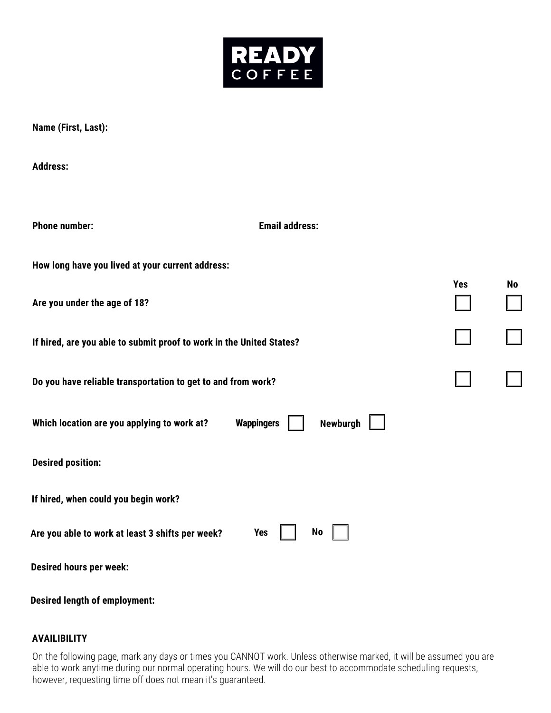

**Name (First, Last):**

**Address:**

| <b>Phone number:</b>                                                 | <b>Email address:</b>         |            |           |
|----------------------------------------------------------------------|-------------------------------|------------|-----------|
| How long have you lived at your current address:                     |                               |            |           |
| Are you under the age of 18?                                         |                               | <b>Yes</b> | <b>No</b> |
| If hired, are you able to submit proof to work in the United States? |                               |            |           |
| Do you have reliable transportation to get to and from work?         |                               |            |           |
| Which location are you applying to work at?                          | <b>Wappingers</b><br>Newburgh |            |           |
| <b>Desired position:</b>                                             |                               |            |           |
| If hired, when could you begin work?                                 |                               |            |           |
| Are you able to work at least 3 shifts per week?                     | <b>Yes</b><br>No              |            |           |
| <b>Desired hours per week:</b>                                       |                               |            |           |
|                                                                      |                               |            |           |

**Desired length of employment:**

### **AVAILIBILITY**

On the following page, mark any days or times you CANNOT work. Unless otherwise marked, it will be assumed you are able to work anytime during our normal operating hours. We will do our best to accommodate scheduling requests, however, requesting time off does not mean it's guaranteed.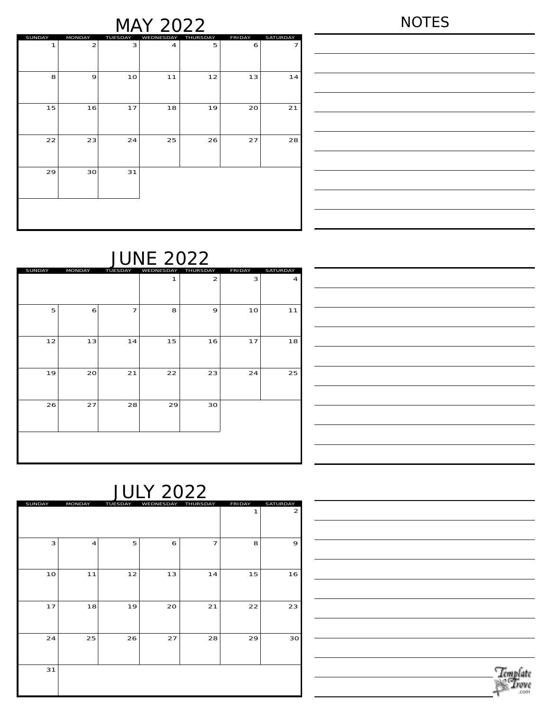## MAY 2022

|--|--|

| SUNDAY | <b>MONDAY</b>  | TUESDAY | WEDNESDAY      | THURSDAY | <b>FRIDAY</b> | SATURDAY |
|--------|----------------|---------|----------------|----------|---------------|----------|
| 1      | $\overline{a}$ | 3       | $\overline{4}$ | 5        | 6             | 7        |
|        |                |         |                |          |               |          |
|        |                |         |                |          |               |          |
| 8      | 9              | 10      | 11             | 12       | 13            | 14       |
|        |                |         |                |          |               |          |
|        |                |         |                |          |               |          |
|        |                |         |                |          |               |          |
| 15     | 16             | 17      | 18             | 19       | 20            | 21       |
|        |                |         |                |          |               |          |
|        |                |         |                |          |               |          |
| 22     | 23             | 24      | 25             | 26       | 27            | 28       |
|        |                |         |                |          |               |          |
|        |                |         |                |          |               |          |
|        |                |         |                |          |               |          |
| 29     | 30             | 31      |                |          |               |          |
|        |                |         |                |          |               |          |
|        |                |         |                |          |               |          |
|        |                |         |                |          |               |          |
|        |                |         |                |          |               |          |
|        |                |         |                |          |               |          |
|        |                |         |                |          |               |          |

| <u> 1989 - Johann Stoff, fransk politik (f. 1989)</u>                                                                |  |  |
|----------------------------------------------------------------------------------------------------------------------|--|--|
| <u> 1989 - Andrea Santa Andrea Andrea Andrea Andrea Andrea Andrea Andrea Andrea Andrea Andrea Andrea Andrea Andr</u> |  |  |
|                                                                                                                      |  |  |
| <u> 1989 - Johann Stoff, fransk politik (f. 1989)</u>                                                                |  |  |
|                                                                                                                      |  |  |
|                                                                                                                      |  |  |
| <u> 1989 - Johann Stein, marwolaethau a bhann an t-Amhain an t-Amhain an t-Amhain an t-Amhain an t-Amhain an t-A</u> |  |  |
|                                                                                                                      |  |  |

# SUNDAY MONDAY TUESDAY WEDNESDAY THURSDAY FRIDAY SATURDAY

| SUNDAY | MONDAY | TUESDAY        | WEDNESDAY    | THURSDAY       | FRIDAY | SATURDAY       |
|--------|--------|----------------|--------------|----------------|--------|----------------|
|        |        |                | $\mathbf{1}$ | $\overline{a}$ | 3      | $\overline{4}$ |
|        |        |                |              |                |        |                |
| 5      | 6      | $\overline{7}$ | 8            | 9              | 10     | 11             |
|        |        |                |              |                |        |                |
| 12     | 13     | 14             | 15           | 16             | 17     | 18             |
|        |        |                |              |                |        |                |
| 19     | 20     | 21             | 22           | 23             | 24     | 25             |
|        |        |                |              |                |        |                |
| 26     | 27     | 28             | 29           | 30             |        |                |
|        |        |                |              |                |        |                |
|        |        |                |              |                |        |                |
|        |        |                |              |                |        |                |
|        |        |                |              |                |        |                |

# JULY 2022

| SUNDAY | MONDAY         | TUESDAY | WEDNESDAY | THURSDAY       | FRIDAY | <b>SATURDAY</b> |
|--------|----------------|---------|-----------|----------------|--------|-----------------|
|        |                |         |           |                | 1      | 2               |
| 3      | $\overline{4}$ | 5       | 6         | $\overline{7}$ | 8      | 9               |
| 10     | 11             | 12      | 13        | 14             | 15     | 16              |
| 17     | 18             | 19      | 20        | 21             | 22     | 23              |
| 24     | 25             | 26      | 27        | 28             | 29     | 30 <sup>°</sup> |
| 31     |                |         |           |                |        |                 |

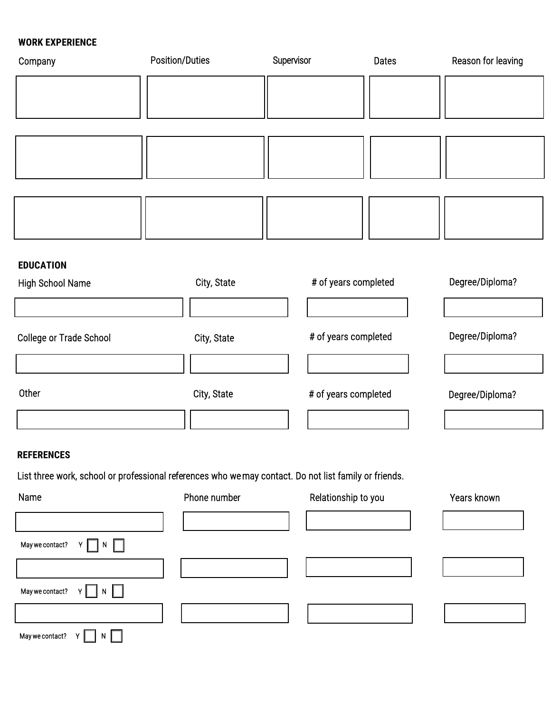### **WORK EXPERIENCE**

| Company                 | Position/Duties | Supervisor           | <b>Dates</b> | Reason for leaving |
|-------------------------|-----------------|----------------------|--------------|--------------------|
|                         |                 |                      |              |                    |
|                         |                 |                      |              |                    |
|                         |                 |                      |              |                    |
|                         |                 |                      |              |                    |
|                         |                 |                      |              |                    |
| <b>EDUCATION</b>        |                 |                      |              |                    |
| High School Name        | City, State     | # of years completed |              | Degree/Diploma?    |
|                         |                 |                      |              |                    |
| College or Trade School | City, State     | # of years completed |              | Degree/Diploma?    |
|                         |                 |                      |              |                    |
| Other                   | City, State     | # of years completed |              | Degree/Diploma?    |
|                         |                 |                      |              |                    |
|                         |                 |                      |              |                    |

#### **REFERENCES**

List three work, school or professional references who we may contact. Do not list family or friends.

| Name                       | Phone number | Relationship to you | Years known |
|----------------------------|--------------|---------------------|-------------|
|                            |              |                     |             |
| Y ∏ N ∏<br>May we contact? |              |                     |             |
|                            |              |                     |             |
| May we contact? $Y \cap N$ |              |                     |             |
|                            |              |                     |             |
| May we contact?<br>N.      |              |                     |             |